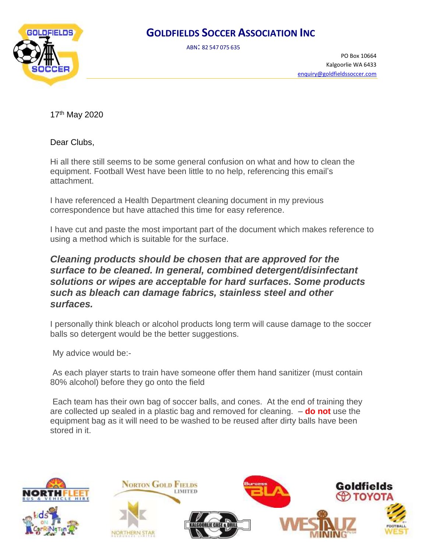ABN: <sup>82</sup> <sup>547</sup> <sup>075</sup> <sup>635</sup>



PO Box 10664 Kalgoorlie WA 6433 [enquiry@goldfieldssoccer.com](mailto:enquiry@goldfieldssoccer.com)

17th May 2020

Dear Clubs,

Hi all there still seems to be some general confusion on what and how to clean the equipment. Football West have been little to no help, referencing this email's attachment.

I have referenced a Health Department cleaning document in my previous correspondence but have attached this time for easy reference.

I have cut and paste the most important part of the document which makes reference to using a method which is suitable for the surface.

#### *Cleaning products should be chosen that are approved for the surface to be cleaned. In general, combined detergent/disinfectant solutions or wipes are acceptable for hard surfaces. Some products such as bleach can damage fabrics, stainless steel and other surfaces.*

I personally think bleach or alcohol products long term will cause damage to the soccer balls so detergent would be the better suggestions.

My advice would be:-

As each player starts to train have someone offer them hand sanitizer (must contain 80% alcohol) before they go onto the field

Each team has their own bag of soccer balls, and cones. At the end of training they are collected up sealed in a plastic bag and removed for cleaning. – **do not** use the equipment bag as it will need to be washed to be reused after dirty balls have been stored in it.

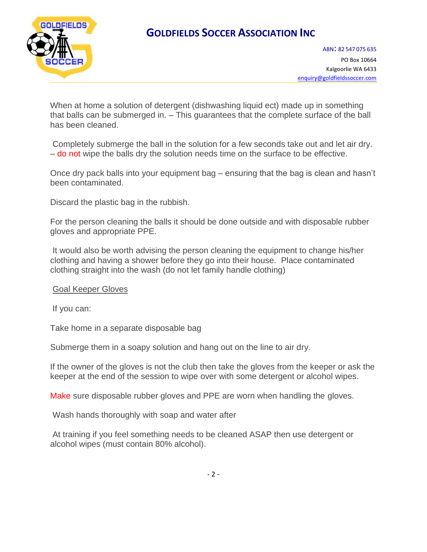

When at home a solution of detergent (dishwashing liquid ect) made up in something that balls can be submerged in. – This guarantees that the complete surface of the ball has been cleaned.

Completely submerge the ball in the solution for a few seconds take out and let air dry. – do not wipe the balls dry the solution needs time on the surface to be effective.

Once dry pack balls into your equipment bag – ensuring that the bag is clean and hasn't been contaminated.

Discard the plastic bag in the rubbish.

For the person cleaning the balls it should be done outside and with disposable rubber gloves and appropriate PPE.

It would also be worth advising the person cleaning the equipment to change his/her clothing and having a shower before they go into their house. Place contaminated clothing straight into the wash (do not let family handle clothing)

#### Goal Keeper Gloves

If you can:

Take home in a separate disposable bag

Submerge them in a soapy solution and hang out on the line to air dry.

If the owner of the gloves is not the club then take the gloves from the keeper or ask the keeper at the end of the session to wipe over with some detergent or alcohol wipes.

Make sure disposable rubber gloves and PPE are worn when handling the gloves.

Wash hands thoroughly with soap and water after

At training if you feel something needs to be cleaned ASAP then use detergent or alcohol wipes (must contain 80% alcohol).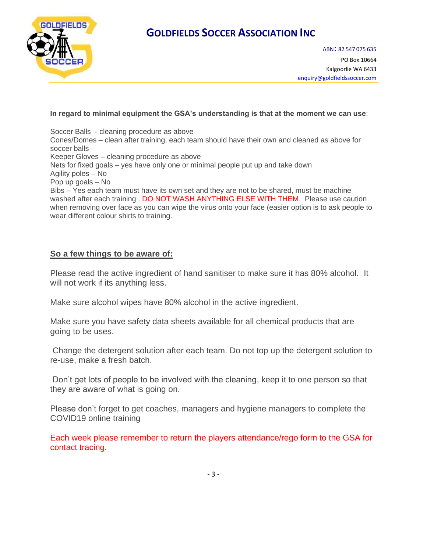

#### **In regard to minimal equipment the GSA's understanding is that at the moment we can use**:

Soccer Balls - cleaning procedure as above Cones/Domes – clean after training, each team should have their own and cleaned as above for soccer balls Keeper Gloves – cleaning procedure as above Nets for fixed goals – yes have only one or minimal people put up and take down Agility poles – No Pop up goals – No Bibs – Yes each team must have its own set and they are not to be shared, must be machine washed after each training . DO NOT WASH ANYTHING ELSE WITH THEM. Please use caution when removing over face as you can wipe the virus onto your face (easier option is to ask people to wear different colour shirts to training.

#### **So a few things to be aware of:**

Please read the active ingredient of hand sanitiser to make sure it has 80% alcohol. It will not work if its anything less.

Make sure alcohol wipes have 80% alcohol in the active ingredient.

Make sure you have safety data sheets available for all chemical products that are going to be uses.

Change the detergent solution after each team. Do not top up the detergent solution to re-use, make a fresh batch.

Don't get lots of people to be involved with the cleaning, keep it to one person so that they are aware of what is going on.

Please don't forget to get coaches, managers and hygiene managers to complete the COVID19 online training

Each week please remember to return the players attendance/rego form to the GSA for contact tracing.